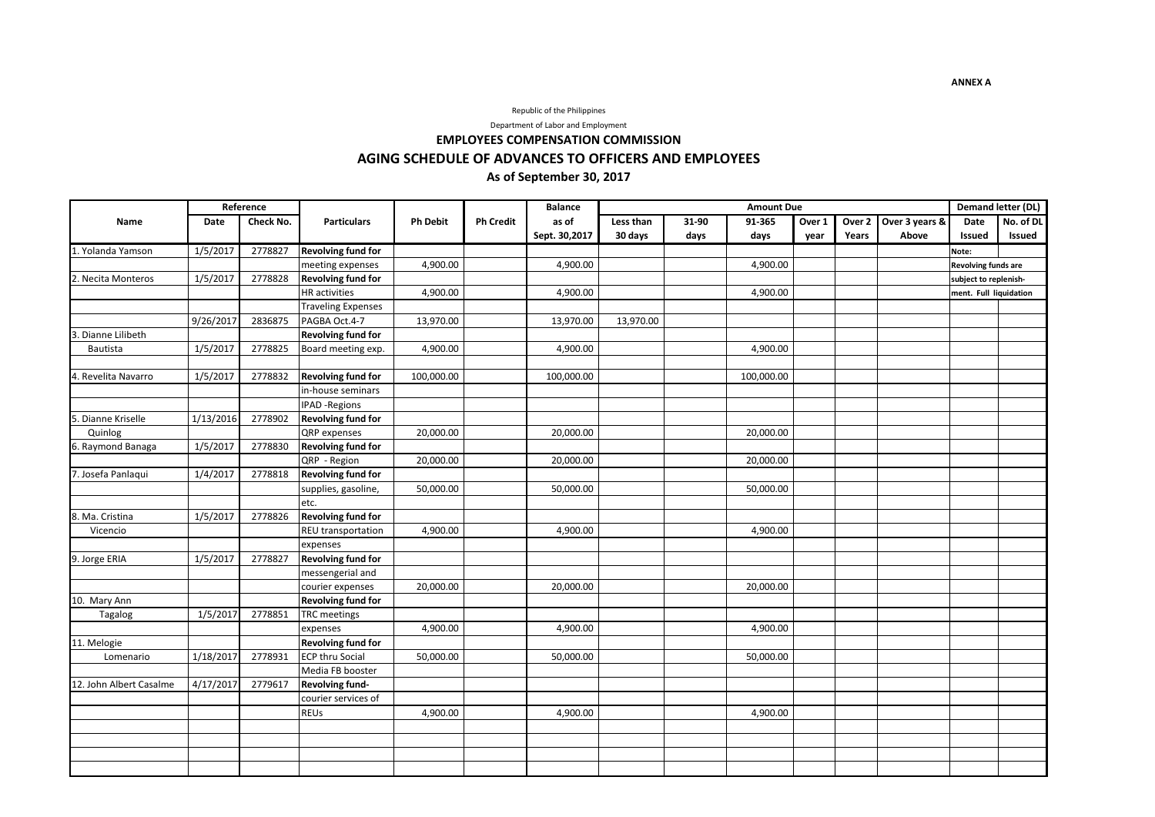### Republic of the Philippines

Department of Labor and Employment

# **EMPLOYEES COMPENSATION COMMISSION AGING SCHEDULE OF ADVANCES TO OFFICERS AND EMPLOYEES As of September 30, 2017**

|                         | Reference |           |                           |                 |                  | <b>Balance</b> | <b>Amount Due</b> |       |            |        |                   |                | Demand letter (DL)     |           |
|-------------------------|-----------|-----------|---------------------------|-----------------|------------------|----------------|-------------------|-------|------------|--------|-------------------|----------------|------------------------|-----------|
| Name                    | Date      | Check No. | <b>Particulars</b>        | <b>Ph Debit</b> | <b>Ph Credit</b> | as of          | Less than         | 31-90 | 91-365     | Over 1 | Over <sub>2</sub> | Over 3 years & | <b>Date</b>            | No. of DL |
|                         |           |           |                           |                 |                  | Sept. 30,2017  | 30 days           | days  | days       | year   | Years             | Above          | <b>Issued</b>          | Issued    |
| 1. Yolanda Yamson       | 1/5/2017  | 2778827   | <b>Revolving fund for</b> |                 |                  |                |                   |       |            |        |                   |                | Note:                  |           |
|                         |           |           | meeting expenses          | 4,900.00        |                  | 4,900.00       |                   |       | 4,900.00   |        |                   |                | Revolving funds are    |           |
| 2. Necita Monteros      | 1/5/2017  | 2778828   | <b>Revolving fund for</b> |                 |                  |                |                   |       |            |        |                   |                | subject to replenish-  |           |
|                         |           |           | <b>HR</b> activities      | 4,900.00        |                  | 4,900.00       |                   |       | 4,900.00   |        |                   |                | ment. Full liquidation |           |
|                         |           |           | <b>Traveling Expenses</b> |                 |                  |                |                   |       |            |        |                   |                |                        |           |
|                         | 9/26/2017 | 2836875   | PAGBA Oct.4-7             | 13,970.00       |                  | 13,970.00      | 13,970.00         |       |            |        |                   |                |                        |           |
| . Dianne Lilibeth       |           |           | <b>Revolving fund for</b> |                 |                  |                |                   |       |            |        |                   |                |                        |           |
| Bautista                | 1/5/2017  | 2778825   | Board meeting exp.        | 4,900.00        |                  | 4,900.00       |                   |       | 4,900.00   |        |                   |                |                        |           |
|                         |           |           |                           |                 |                  |                |                   |       |            |        |                   |                |                        |           |
| 4. Revelita Navarro     | 1/5/2017  | 2778832   | <b>Revolving fund for</b> | 100,000.00      |                  | 100,000.00     |                   |       | 100,000.00 |        |                   |                |                        |           |
|                         |           |           | in-house seminars         |                 |                  |                |                   |       |            |        |                   |                |                        |           |
|                         |           |           | <b>IPAD -Regions</b>      |                 |                  |                |                   |       |            |        |                   |                |                        |           |
| . Dianne Kriselle       | 1/13/2016 | 2778902   | <b>Revolving fund for</b> |                 |                  |                |                   |       |            |        |                   |                |                        |           |
| Quinlog                 |           |           | QRP expenses              | 20,000.00       |                  | 20,000.00      |                   |       | 20,000.00  |        |                   |                |                        |           |
| 6. Raymond Banaga       | 1/5/2017  | 2778830   | <b>Revolving fund for</b> |                 |                  |                |                   |       |            |        |                   |                |                        |           |
|                         |           |           | QRP - Region              | 20,000.00       |                  | 20,000.00      |                   |       | 20,000.00  |        |                   |                |                        |           |
| 7. Josefa Panlaqui      | 1/4/2017  | 2778818   | <b>Revolving fund for</b> |                 |                  |                |                   |       |            |        |                   |                |                        |           |
|                         |           |           | supplies, gasoline,       | 50,000.00       |                  | 50,000.00      |                   |       | 50,000.00  |        |                   |                |                        |           |
|                         |           |           | etc.                      |                 |                  |                |                   |       |            |        |                   |                |                        |           |
| 8. Ma. Cristina         | 1/5/2017  | 2778826   | <b>Revolving fund for</b> |                 |                  |                |                   |       |            |        |                   |                |                        |           |
| Vicencio                |           |           | REU transportation        | 4,900.00        |                  | 4,900.00       |                   |       | 4,900.00   |        |                   |                |                        |           |
|                         |           |           | expenses                  |                 |                  |                |                   |       |            |        |                   |                |                        |           |
| 9. Jorge ERIA           | 1/5/2017  | 2778827   | <b>Revolving fund for</b> |                 |                  |                |                   |       |            |        |                   |                |                        |           |
|                         |           |           | messengerial and          |                 |                  |                |                   |       |            |        |                   |                |                        |           |
|                         |           |           | courier expenses          | 20,000.00       |                  | 20,000.00      |                   |       | 20,000.00  |        |                   |                |                        |           |
| 10. Mary Ann            |           |           | <b>Revolving fund for</b> |                 |                  |                |                   |       |            |        |                   |                |                        |           |
| Tagalog                 | 1/5/2017  | 2778851   | <b>TRC</b> meetings       |                 |                  |                |                   |       |            |        |                   |                |                        |           |
|                         |           |           | expenses                  | 4,900.00        |                  | 4,900.00       |                   |       | 4,900.00   |        |                   |                |                        |           |
| 11. Melogie             |           |           | <b>Revolving fund for</b> |                 |                  |                |                   |       |            |        |                   |                |                        |           |
| Lomenario               | 1/18/2017 | 2778931   | <b>ECP thru Social</b>    | 50,000.00       |                  | 50,000.00      |                   |       | 50,000.00  |        |                   |                |                        |           |
|                         |           |           | Media FB booster          |                 |                  |                |                   |       |            |        |                   |                |                        |           |
| 12. John Albert Casalme | 4/17/2017 | 2779617   | Revolving fund-           |                 |                  |                |                   |       |            |        |                   |                |                        |           |
|                         |           |           | courier services of       |                 |                  |                |                   |       |            |        |                   |                |                        |           |
|                         |           |           | REUs                      | 4,900.00        |                  | 4,900.00       |                   |       | 4,900.00   |        |                   |                |                        |           |
|                         |           |           |                           |                 |                  |                |                   |       |            |        |                   |                |                        |           |
|                         |           |           |                           |                 |                  |                |                   |       |            |        |                   |                |                        |           |
|                         |           |           |                           |                 |                  |                |                   |       |            |        |                   |                |                        |           |
|                         |           |           |                           |                 |                  |                |                   |       |            |        |                   |                |                        |           |